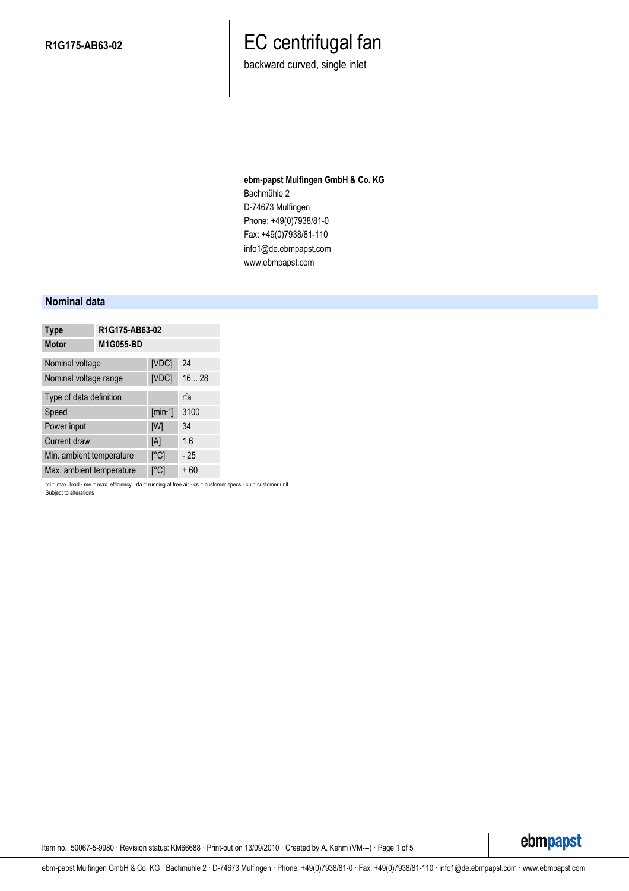backward curved, single inlet

### **ebm-papst Mulfingen GmbH & Co. KG** Bachmühle 2 D-74673 Mulfingen Phone: +49(0)7938/81-0 Fax: +49(0)7938/81-110 info1@de.ebmpapst.com

www.ebmpapst.com

#### **Nominal data**

| <b>Type</b>              | R1G175-AB63-02 |              |       |  |  |
|--------------------------|----------------|--------------|-------|--|--|
| <b>Motor</b>             | M1G055-BD      |              |       |  |  |
| Nominal voltage          |                | [VDC]        | 24    |  |  |
| Nominal voltage range    |                | [VDC]        | 1628  |  |  |
| Type of data definition  |                |              | rfa   |  |  |
| Speed                    |                | $[min^{-1}]$ | 3100  |  |  |
| Power input              |                | [W]          | 34    |  |  |
| <b>Current draw</b>      |                | [A]          | 1.6   |  |  |
| Min. ambient temperature |                | [°C]         | $-25$ |  |  |
| Max. ambient temperature |                | [°C]         | $+60$ |  |  |

ml = max. load · me = max. efficiency · rfa = running at free air · cs = customer specs · cu = customer unit Subject to alterations

Item no.: 50067-5-9980 · Revision status: KM66688 · Print-out on 13/09/2010 · Created by A. Kehm (VM---) · Page 1 of 5

ebmpapst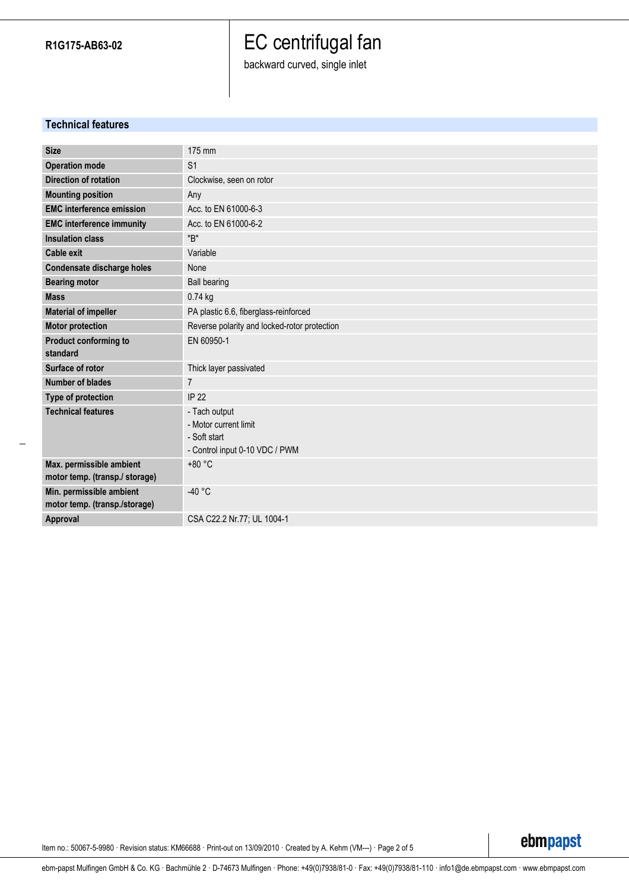backward curved, single inlet

### **Technical features**

| <b>Size</b>                                                | 175 mm                                                                                   |  |  |  |  |
|------------------------------------------------------------|------------------------------------------------------------------------------------------|--|--|--|--|
| <b>Operation mode</b>                                      | S <sub>1</sub>                                                                           |  |  |  |  |
| <b>Direction of rotation</b>                               | Clockwise, seen on rotor                                                                 |  |  |  |  |
| <b>Mounting position</b>                                   | Any                                                                                      |  |  |  |  |
| <b>EMC</b> interference emission                           | Acc. to EN 61000-6-3                                                                     |  |  |  |  |
| <b>EMC</b> interference immunity                           | Acc. to EN 61000-6-2                                                                     |  |  |  |  |
| <b>Insulation class</b>                                    | "B"                                                                                      |  |  |  |  |
| <b>Cable exit</b>                                          | Variable                                                                                 |  |  |  |  |
| <b>Condensate discharge holes</b>                          | None                                                                                     |  |  |  |  |
| <b>Bearing motor</b>                                       | <b>Ball bearing</b>                                                                      |  |  |  |  |
| <b>Mass</b>                                                | $0.74$ kg                                                                                |  |  |  |  |
| <b>Material of impeller</b>                                | PA plastic 6.6, fiberglass-reinforced                                                    |  |  |  |  |
| <b>Motor protection</b>                                    | Reverse polarity and locked-rotor protection                                             |  |  |  |  |
| Product conforming to<br>standard                          | EN 60950-1                                                                               |  |  |  |  |
| Surface of rotor                                           | Thick layer passivated                                                                   |  |  |  |  |
| Number of blades                                           | $\overline{7}$                                                                           |  |  |  |  |
| Type of protection                                         | <b>IP 22</b>                                                                             |  |  |  |  |
| <b>Technical features</b>                                  | - Tach output<br>- Motor current limit<br>- Soft start<br>- Control input 0-10 VDC / PWM |  |  |  |  |
| Max. permissible ambient<br>motor temp. (transp./ storage) | +80 °C                                                                                   |  |  |  |  |
| Min. permissible ambient<br>motor temp. (transp./storage)  | $-40 °C$                                                                                 |  |  |  |  |
| Approval                                                   | CSA C22.2 Nr.77; UL 1004-1                                                               |  |  |  |  |

Item no.: 50067-5-9980 · Revision status: KM66688 · Print-out on 13/09/2010 · Created by A. Kehm (VM---) · Page 2 of 5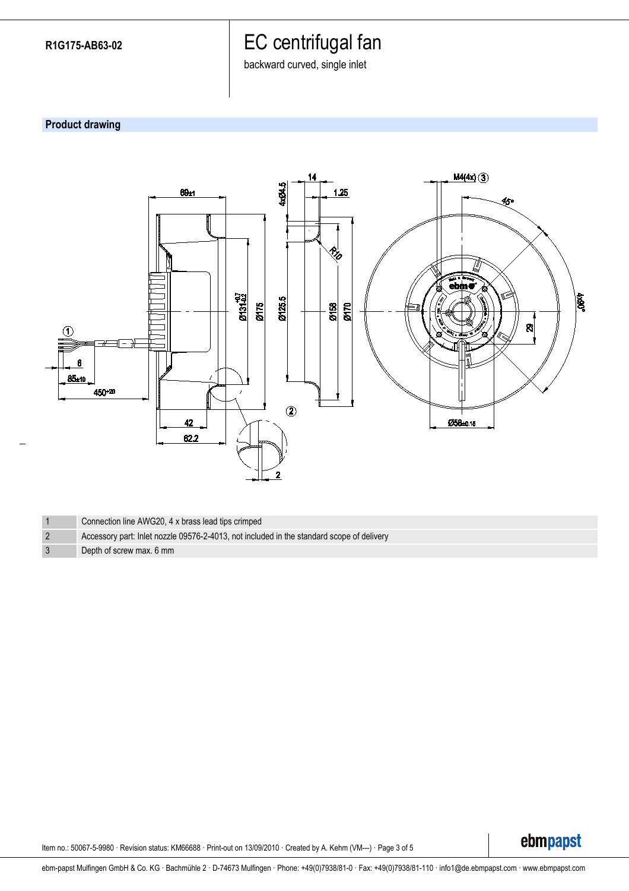backward curved, single inlet

### **Product drawing**



|  | Connection line AWG20, 4 x brass lead tips crimped |  |  |
|--|----------------------------------------------------|--|--|
|--|----------------------------------------------------|--|--|

- 2 Accessory part: Inlet nozzle 09576-2-4013, not included in the standard scope of delivery
- 3 Depth of screw max. 6 mm

Item no.: 50067-5-9980 · Revision status: KM66688 · Print-out on 13/09/2010 · Created by A. Kehm (VM---) · Page 3 of 5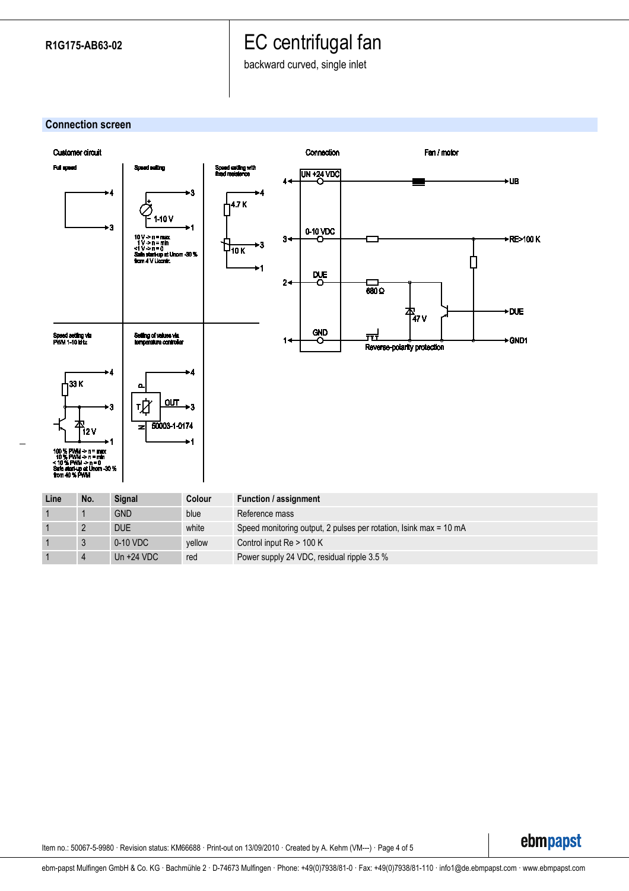backward curved, single inlet

### **Connection screen**



Item no.: 50067-5-9980 · Revision status: KM66688 · Print-out on 13/09/2010 · Created by A. Kehm (VM---) · Page 4 of 5